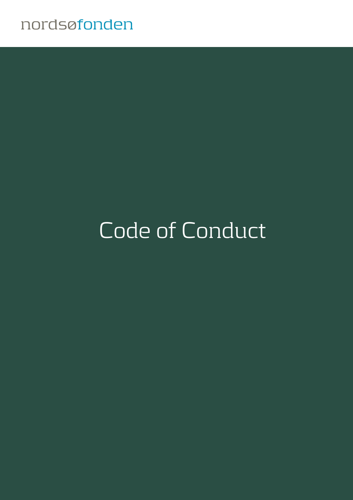### nordsøfonden

# Code of Conduct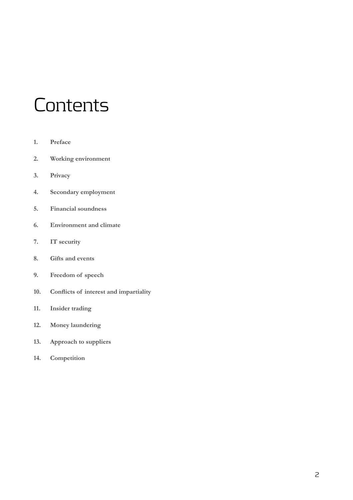## **Contents**

- **1. Preface**
- **2. Working environment**
- **3. Privacy**
- **4. Secondary employment**
- **5. Financial soundness**
- **6. Environment and climate**
- **7. IT security**
- **8. Gifts and events**
- **9. Freedom of speech**
- **10. Conflicts of interest and impartiality**
- **11. Insider trading**
- **12. Money laundering**
- **13. Approach to suppliers**
- **14. Competition**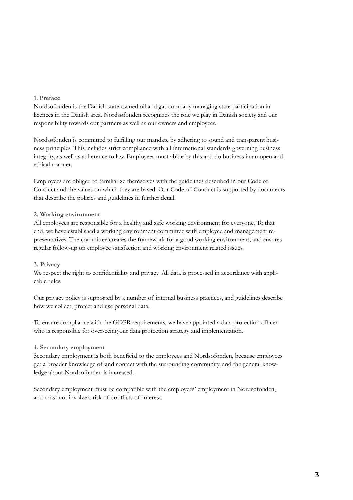#### **1. Preface**

Nordsøfonden is the Danish state-owned oil and gas company managing state participation in licences in the Danish area. Nordsøfonden recognizes the role we play in Danish society and our responsibility towards our partners as well as our owners and employees.

Nordsøfonden is committed to fulfilling our mandate by adhering to sound and transparent business principles. This includes strict compliance with all international standards governing business integrity, as well as adherence to law. Employees must abide by this and do business in an open and ethical manner.

Employees are obliged to familiarize themselves with the guidelines described in our Code of Conduct and the values on which they are based. Our Code of Conduct is supported by documents that describe the policies and guidelines in further detail.

#### **2. Working environment**

All employees are responsible for a healthy and safe working environment for everyone. To that end, we have established a working environment committee with employee and management representatives. The committee creates the framework for a good working environment, and ensures regular follow-up on employee satisfaction and working environment related issues.

#### **3. Privacy**

We respect the right to confidentiality and privacy. All data is processed in accordance with applicable rules.

Our privacy policy is supported by a number of internal business practices, and guidelines describe how we collect, protect and use personal data.

To ensure compliance with the GDPR requirements, we have appointed a data protection officer who is responsible for overseeing our data protection strategy and implementation.

#### **4. Secondary employment**

Secondary employment is both beneficial to the employees and Nordsøfonden, because employees get a broader knowledge of and contact with the surrounding community, and the general knowledge about Nordsøfonden is increased.

Secondary employment must be compatible with the employees' employment in Nordsøfonden, and must not involve a risk of conflicts of interest.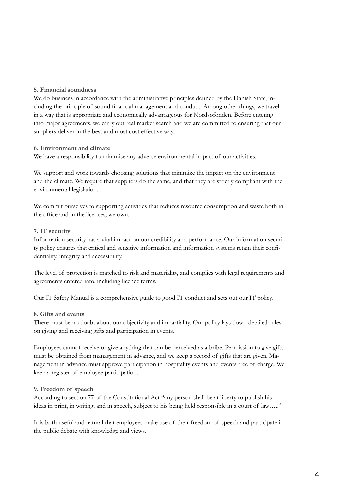#### **5. Financial soundness**

We do business in accordance with the administrative principles defined by the Danish State, including the principle of sound financial management and conduct. Among other things, we travel in a way that is appropriate and economically advantageous for Nordsøfonden. Before entering into major agreements, we carry out real market search and we are committed to ensuring that our suppliers deliver in the best and most cost effective way.

#### **6. Environment and climate**

We have a responsibility to minimise any adverse environmental impact of our activities.

We support and work towards choosing solutions that minimize the impact on the environment and the climate. We require that suppliers do the same, and that they are strictly compliant with the environmental legislation.

We commit ourselves to supporting activities that reduces resource consumption and waste both in the office and in the licences, we own.

#### **7. IT security**

Information security has a vital impact on our credibility and performance. Our information security policy ensures that critical and sensitive information and information systems retain their confidentiality, integrity and accessibility.

The level of protection is matched to risk and materiality, and complies with legal requirements and agreements entered into, including licence terms.

Our IT Safety Manual is a comprehensive guide to good IT conduct and sets out our IT policy.

#### **8. Gifts and events**

There must be no doubt about our objectivity and impartiality. Our policy lays down detailed rules on giving and receiving gifts and participation in events.

Employees cannot receive or give anything that can be perceived as a bribe. Permission to give gifts must be obtained from management in advance, and we keep a record of gifts that are given. Management in advance must approve participation in hospitality events and events free of charge. We keep a register of employee participation.

#### **9. Freedom of speech**

According to section 77 of the Constitutional Act "any person shall be at liberty to publish his ideas in print, in writing, and in speech, subject to his being held responsible in a court of law….."

It is both useful and natural that employees make use of their freedom of speech and participate in the public debate with knowledge and views.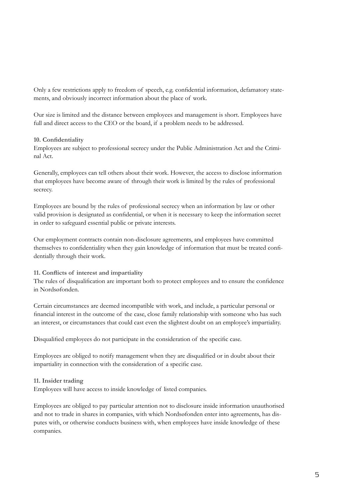Only a few restrictions apply to freedom of speech, e.g. confidential information, defamatory statements, and obviously incorrect information about the place of work.

Our size is limited and the distance between employees and management is short. Employees have full and direct access to the CEO or the board, if a problem needs to be addressed.

#### **10. Confidentiality**

Employees are subject to professional secrecy under the Public Administration Act and the Criminal Act.

Generally, employees can tell others about their work. However, the access to disclose information that employees have become aware of through their work is limited by the rules of professional secrecy.

Employees are bound by the rules of professional secrecy when an information by law or other valid provision is designated as confidential, or when it is necessary to keep the information secret in order to safeguard essential public or private interests.

Our employment contracts contain non-disclosure agreements, and employees have committed themselves to confidentiality when they gain knowledge of information that must be treated confidentially through their work.

#### **11. Conflicts of interest and impartiality**

The rules of disqualification are important both to protect employees and to ensure the confidence in Nordsøfonden.

Certain circumstances are deemed incompatible with work, and include, a particular personal or financial interest in the outcome of the case, close family relationship with someone who has such an interest, or circumstances that could cast even the slightest doubt on an employee's impartiality.

Disqualified employees do not participate in the consideration of the specific case.

Employees are obliged to notify management when they are disqualified or in doubt about their impartiality in connection with the consideration of a specific case.

#### **11. Insider trading**

Employees will have access to inside knowledge of listed companies.

Employees are obliged to pay particular attention not to disclosure inside information unauthorised and not to trade in shares in companies, with which Nordsøfonden enter into agreements, has disputes with, or otherwise conducts business with, when employees have inside knowledge of these companies.